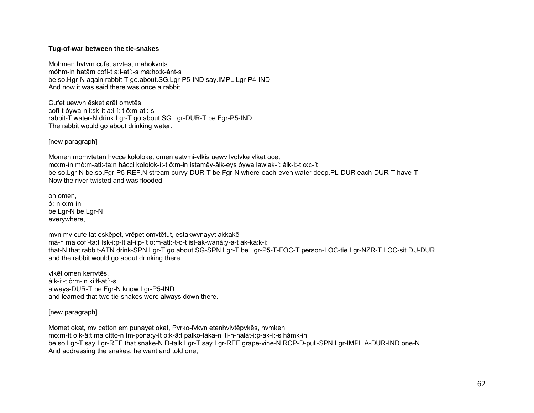## Tug-of-war between the tie-snakes

Mohmen hytym cufet arytes, mahokynts. móhm-in hatâm cofí-t a: ł-atí:-s má: ho: k-ánt-s be.so.Hgr-N again rabbit-T go.about.SG.Lgr-P5-IND say.IMPL.Lgr-P4-IND And now it was said there was once a rabbit.

Cufet uewyn ēsket arēt omytēs. cofí-t óywa-n i:sk-ít a:ł-í:-t ô:m-ati:-s rabbit-T water-N drink.Lgr-T go.about.SG.Lgr-DUR-T be.Fgr-P5-IND The rabbit would go about drinking water.

[new paragraph]

Momen momytētan hycce kololokēt omen estymi-vikis uewy lyolykē vikēt ocet mo:m-ín mô:m-ati:-ta:n hácci kololok-í:-t ô:m-in istamêy-âlk-eys óywa lawlak-í: álk-i:-t o:c-ít be.so.Lgr-N be.so.Fgr-P5-REF.N stream curvy-DUR-T be.Fgr-N where-each-even water deep.PL-DUR each-DUR-T have-T Now the river twisted and was flooded

on omen.  $6:-n$  o:m- $fn$ be.Lgr-N be.Lgr-N everywhere,

myn my cufe tat eskēpet, vrēpet omytētut, estakwynayyt akkakē má-n ma cofí-ta:t ísk-i:p-ít al-i:p-ít o:m-atí:-t-o-t ist-ak-waná:y-a-t ak-ká:k-i: that-N that rabbit-ATN drink-SPN.Lqr-T go.about.SG-SPN.Lqr-T be.Lqr-P5-T-FOC-T person-LOC-tie.Lqr-NZR-T LOC-sit.DU-DUR and the rabbit would go about drinking there

vikēt omen kerrytēs álk-i:-t ô:m-in ki:łł-atí:-s always-DUR-T be.Fgr-N know.Lgr-P5-IND and learned that two tie-snakes were always down there.

[new paragraph]

Momet okat, my cetton em punayet okat, Pyrko-fykyn etenhylytēpykēs, hymken mo:m-ít o:k-â:t ma cítto-n ím-pona:y-ít o:k-â:t pałko-fáka-n iti-n-halát-i:p-ak-í:-s hámk-in be.so.Lgr-T say.Lgr-REF that snake-N D-talk.Lgr-T say.Lgr-REF grape-vine-N RCP-D-pull-SPN.Lgr-IMPL.A-DUR-IND one-N And addressing the snakes, he went and told one,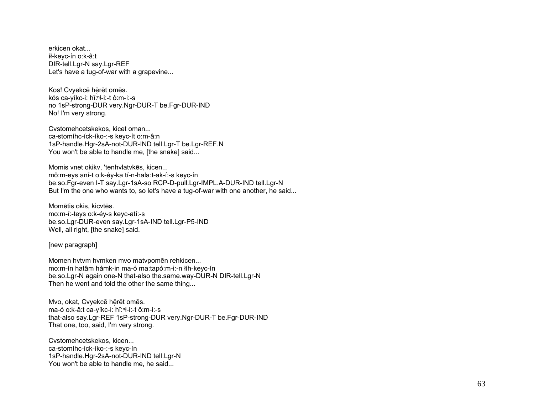erkicen okat... íł-keyc-ín o:k-â:t DIR-tell.Lgr-N say.Lgr-REF Let's have a tug-of-war with a grapevine...

Kos! Cvyekcē hērēt omēs. kós ca-yíkc-i: hǐ: "l-i: -t ô: m-i: -s no 1sP-strong-DUR very.Ngr-DUR-T be.Fgr-DUR-IND No! I'm very strong.

Cystomehcetskekos, kicet oman... ca-stomíhc-íck-íko-:-s keyc-ít o:m-â:n 1sP-handle.Hgr-2sA-not-DUR-IND tell.Lgr-T be.Lgr-REF.N You won't be able to handle me, [the snake] said...

Momis vnet okikv, 'tenhvlatvkēs, kicen... mô:m-eys aní-t o:k-éy-ka tí-n-hala:t-ak-í:-s keyc-ín be.so.Fgr-even I-T say.Lgr-1sA-so RCP-D-pull.Lgr-IMPL.A-DUR-IND tell.Lgr-N But I'm the one who wants to, so let's have a tug-of-war with one another, he said...

Momētis okis, kicytēs. mo:m-í:-teys o:k-éy-s keyc-atí:-s be.so.Lgr-DUR-even say.Lgr-1sA-IND tell.Lgr-P5-IND Well, all right, [the snake] said.

[new paragraph]

Momen hytym hymken myo matypomēn rehkicen... mo:m-ín hatâm hámk-in ma-ó ma:tapó:m-i:-n łíh-keyc-ín be.so.Lgr-N again one-N that-also the.same.way-DUR-N DIR-tell.Lgr-N Then he went and told the other the same thing...

Mvo, okat, Cvyekcē hērēt omēs. ma-ó o:k-â:t ca-yíkc-i: hǐ:<sup>n</sup>ł-i:-t ô:m-i:-s that-also say.Lgr-REF 1sP-strong-DUR very.Ngr-DUR-T be.Fgr-DUR-IND That one, too, said, I'm very strong.

Cystomehcetskekos, kicen... ca-stomíhc-íck-íko-:-s keyc-ín 1sP-handle.Hgr-2sA-not-DUR-IND tell.Lgr-N You won't be able to handle me, he said...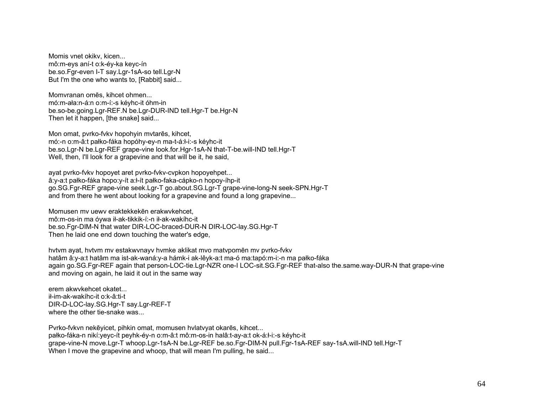Momis vnet okikv, kicen... mô:m-eys aní-t o:k-éy-ka keyc-ín be.so.Fgr-even I-T say.Lgr-1sA-so tell.Lgr-N But I'm the one who wants to, [Rabbit] said...

Momvranan omēs, kihcet ohmen... mó:m-ała:n-á:n o:m-í:-s kéyhc-it óhm-in be.so-be.going.Lgr-REF.N be.Lgr-DUR-IND tell.Hgr-T be.Hgr-N Then let it happen, [the snake] said...

Mon omat, pvrko-fvkv hopohyin mvtarēs, kihcet, mó:-n o:m-â:t pałko-fáka hopóhy-ey-n ma-t-á:ł-i:-s kéyhc-it be.so.Lgr-N be.Lgr-REF grape-vine look.for.Hgr-1sA-N that-T-be.will-IND tell.Hgr-T Well, then, I'll look for a grapevine and that will be it, he said,

ayat pvrko-fvkv hopoyet aret pvrko-fvkv-cvpkon hopoyehpet... â:y-a:t pałko-fáka hopo:y-ít a:ł-ít pałko-faka-cápko-n hopoy-íhp-it go.SG.Fgr-REF grape-vine seek.Lgr-T go.about.SG.Lgr-T grape-vine-long-N seek-SPN.Hgr-T and from there he went about looking for a grapevine and found a long grapevine...

Momusen mv uewv eraktekkekēn erakwvkehcet, mô:m-os-in ma óywa ił-ak-tikkik-í:-n ił-ak-wakíhc-it be.so.Fgr-DIM-N that water DIR-LOC-braced-DUR-N DIR-LOC-lay.SG.Hgr-T Then he laid one end down touching the water's edge,

hvtvm ayat, hvtvm mv estakwvnayv hvmke aklikat mvo matvpomēn mv pvrko-fvkv hatâm â:y-a:t hatâm ma ist-ak-waná:y-a hámk-i ak-lêyk-a:t ma-ó ma:tapó:m-i:-n ma pałko-fáka again go.SG.Fgr-REF again that person-LOC-tie.Lgr-NZR one-I LOC-sit.SG.Fgr-REF that-also the.same.way-DUR-N that grape-vine and moving on again, he laid it out in the same way

erem akwvkehcet okatet... ił-im-ak-wakíhc-it o:k-â:ti-t DIR-D-LOC-lay.SG.Hgr-T say.Lgr-REF-T where the other tie-snake was...

Pvrko-fvkvn nekēyicet, pihkin omat, momusen hvlatvyat okarēs, kihcet... pałko-fáka-n nikí:yeyc-ít peyhk-éy-n o:m-â:t mô:m-os-in halâ:t-ay-a:t ok-á:ł-i:-s kéyhc-it grape-vine-N move.Lgr-T whoop.Lgr-1sA-N be.Lgr-REF be.so.Fgr-DIM-N pull.Fgr-1sA-REF say-1sA.will-IND tell.Hgr-T When I move the grapevine and whoop, that will mean I'm pulling, he said...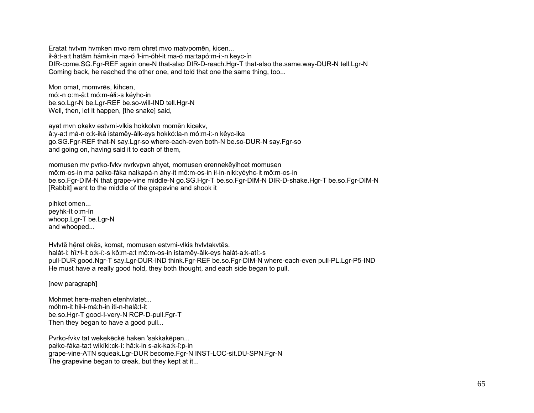Eratat hytym hymken myo rem ohret myo matypomēn, kicen... il-â:t-a:t hatâm hámk-in ma-ó 'l-im-óhl-it ma-ó ma:tapó:m-i:-n keyc-ín DIR-come.SG.Fgr-REF again one-N that-also DIR-D-reach.Hgr-T that-also the.same.way-DUR-N tell.Lgr-N Coming back, he reached the other one, and told that one the same thing, too...

Mon omat, momvrēs, kihcen, mó:-n o:m-â:t mó:m-áłi:-s kéyhc-in be.so.Lgr-N be.Lgr-REF be.so-will-IND tell.Hgr-N Well, then, let it happen, [the snake] said,

ayat mvn okeky estymi-vlkis hokkolyn momēn kiceky, â: y-a:t má-n o: k-iká istamê y-âlk-eys hokkó: la-n mó: m-i: - n kê yc-ika go.SG.Fgr-REF that-N say.Lgr-so where-each-even both-N be.so-DUR-N say.Fgr-so and going on, having said it to each of them,

momusen my pyrko-fyky nyrkypyn ahyet, momusen erennekēyihcet momusen mô:m-os-in ma pałko-fáka nałkapá-n áhy-it mô:m-os-in ił-in-niki:yéyhc-it mô:m-os-in be.so.Fgr-DIM-N that grape-vine middle-N go.SG.Hgr-T be.so.Fgr-DIM-N DIR-D-shake.Hgr-T be.so.Fgr-DIM-N [Rabbit] went to the middle of the grapevine and shook it

pihket omen... peyhk-it o:m-in whoop.Lgr-T be.Lgr-N and whooped...

Hylytē hēret okēs, komat, momusen estymi-vikis hylytakytēs. halát-i: hĭ:<sup>n</sup>ł-it o:k-í:-s kô:m-a:t mô:m-os-in istamêy-âlk-eys halát-a:k-atí:-s pull-DUR good.Ngr-T say.Lgr-DUR-IND think.Fgr-REF be.so.Fgr-DIM-N where-each-even pull-PL.Lgr-P5-IND He must have a really good hold, they both thought, and each side began to pull.

[new paragraph]

Mohmet here-mahen etenhylatet... móhm-it hił-i-má:h-in iti-n-halâ:t-it be.so.Hgr-T good-I-very-N RCP-D-pull.Fgr-T Then they began to have a good pull...

Pyrko-fyky tat wekekēckē haken 'sakkakēpen... pałko-fáka-ta:t wikíki:ck-í: hâ:k-in s-ak-ka:k-î:p-in grape-vine-ATN squeak.Lgr-DUR become.Fgr-N INST-LOC-sit.DU-SPN.Fgr-N The grapevine began to creak, but they kept at it...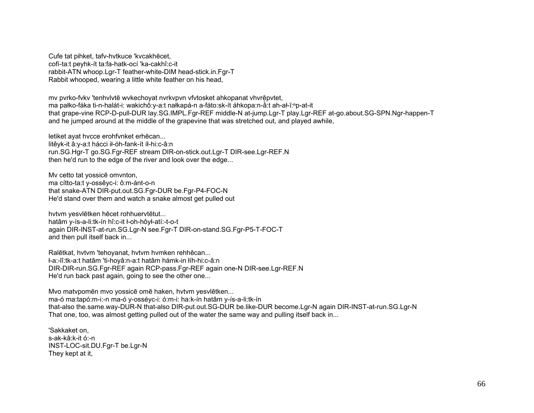Cufe tat pihket, tafy-hytkuce 'kycakhecet, cofí-ta:t pevhk-ít ta:fa-hatk-ocí 'ka-cakhî:c-it rabbit-ATN whoop.Lgr-T feather-white-DIM head-stick.in.Fgr-T Rabbit whooped, wearing a little white feather on his head,

my pyrko-fyky 'tenhylytē wykechoyat nyrkypyn vfytosket ahkopanat yhyrēpytet, ma pałko-fáka ti-n-halát-i: wakichô:y-a:t nałkapá-n a-fáto:sk-ít áhkopa:n-â:t ah-ał-ĭ: "p-at-it that grape-vine RCP-D-pull-DUR lay.SG.IMPL.Fgr-REF middle-N at-jump.Lgr-T play.Lgr-REF at-go.about.SG-SPN.Ngr-happen-T and he jumped around at the middle of the grapevine that was stretched out, and played awhile,

letiket avat hycce erohfynket erhēcan... litêyk-it â:y-a:t hácci ił-óh-fank-ít íł-hi:c-â:n run.SG.Hgr-T go.SG.Fgr-REF stream DIR-on-stick.out.Lgr-T DIR-see.Lgr-REF.N then he'd run to the edge of the river and look over the edge...

My cetto tat yossice omynton, ma cítto-ta:t v-ossêvc-i: ô:m-ánt-o-n that snake-ATN DIR-put.out.SG.Fgr-DUR be.Fgr-P4-FOC-N He'd stand over them and watch a snake almost get pulled out

hvtvm yesvlētken hēcet rohhuervtētut... hatâm y-ís-a-li:tk-ín hî:c-it ł-oh-hôył-atí:-t-o-t again DIR-INST-at-run.SG.Lgr-N see.Fgr-T DIR-on-stand.SG.Fgr-P5-T-FOC-T and then pull itself back in...

Ralētkat, hvtvm 'tehovanat, hvtvm hvmken rehhēcan... ł-a:-lî:tk-a:t hatâm 'ti-hovâ:n-a:t hatâm hámk-in łíh-hi:c-â:n DIR-DIR-run.SG.Fgr-REF again RCP-pass.Fgr-REF again one-N DIR-see.Lgr-REF.N He'd run back past again, going to see the other one...

Mvo matypomēn mvo yossicē omē haken, hytym yesvlētken... ma-ó ma:tapó:m-i:-n ma-ó y-osséyc-i: ó:m-i: ha:k-ín hatâm y-ís-a-li:tk-ín that-also the same way-DUR-N that-also DIR-put out SG-DUR be like-DUR become Lgr-N again DIR-INST-at-run SG Lgr-N That one, too, was almost getting pulled out of the water the same way and pulling itself back in...

'Sakkaket on. s-ak-kâ:k-it ó:-n INST-LOC-sit.DU.Fgr-T be.Lgr-N They kept at it,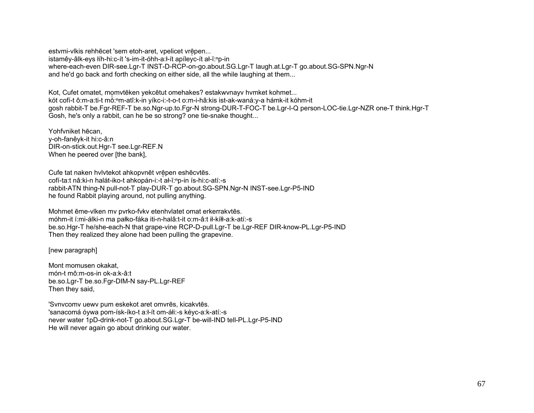estymi-vlkis rehhēcet 'sem etoh-aret, vpelicet vrēpen... istamêy-âlk-eys łíh-hi:c-ít 's-im-it-óhh-a:l-ít apíleyc-ít al-ĭ:np-in where-each-even DIR-see.Lgr-T INST-D-RCP-on-go.about.SG.Lgr-T laugh.at.Lgr-T go.about.SG-SPN.Ngr-N and he'd go back and forth checking on either side, all the while laughing at them...

Kot, Cufet omatet, momvtēken yekcētut omehakes? estakwynayy hymket kohmet... kót cofí-t ô:m-a:ti-t mŏ:<sup>n</sup>m-atî:k-in yíkc-i:-t-o-t o:m-i-hâ:kis ist-ak-waná:y-a hámk-it kóhm-it gosh rabbit-T be.Fgr-REF-T be.so.Ngr-up.to.Fgr-N strong-DUR-T-FOC-T be.Lgr-I-Q person-LOC-tie.Lgr-NZR one-T think.Hgr-T Gosh, he's only a rabbit, can he be so strong? one tie-snake thought...

Yohfvniket hēcan. v-oh-fanêyk-it hi:c-â:n DIR-on-stick.out.Har-T see.Lar-REF.N When he peered over [the bank].

Cufe tat naken hvivtekot ahkopvnēt vrēpen eshēcvtēs. cofí-ta:t nâ:ki-n halát-iko-t ahkopán-i:-t al-ĭ:np-in ís-hi:c-atí:-s rabbit-ATN thing-N pull-not-T play-DUR-T go.about.SG-SPN.Ngr-N INST-see.Lgr-P5-IND he found Rabbit playing around, not pulling anything.

Mohmet ēme-viken mv pvrko-fvkv etenhvlatet omat erkerrakvtēs. móhm-it í:mi-álki-n ma pałko-fáka iti-n-halâ:t-it o:m-â:t ił-kíłł-a:k-atí:-s be.so.Hgr-T he/she-each-N that grape-vine RCP-D-pull.Lgr-T be.Lgr-REF DIR-know-PL.Lgr-P5-IND Then they realized they alone had been pulling the grapevine.

[new paragraph]

Mont momusen okakat. món-t mô:m-os-in ok-a:k-â:t be.so.Lgr-T be.so.Fgr-DIM-N say-PL.Lgr-REF Then they said,

'Synycomy uewy pum eskekot aret omyrēs, kicakytēs. 'sanacomá óywa pom-ísk-íko-t a:l-ít om-áli:-s kéyc-a:k-atí:-s never water 1pD-drink-not-T go.about.SG.Lgr-T be-will-IND tell-PL.Lgr-P5-IND He will never again go about drinking our water.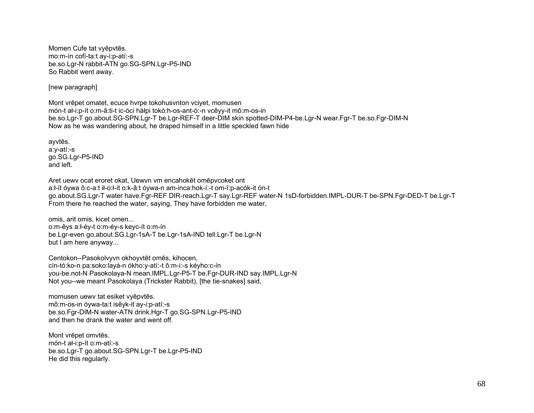Momen Cufe tat vyepvtes. mo:m-ín cofí-ta:t av-i:p-atí:-s be.so.Lqr-N rabbit-ATN qo.SG-SPN.Lqr-P5-IND So Rabbit went away.

[new paragraph]

Mont vrēpet omatet, ecuce hvrpe tokohusvnton vciyet, momusen món-t ał-i:p-ít o:m-â:ti-t ic-óci háłpi tokó:h-os-ant-ó:-n vcêyy-it mô:m-os-in be.so.Lgr-T go.about.SG-SPN.Lgr-T be.Lgr-REF-T deer-DIM skin spotted-DIM-P4-be.Lgr-N wear.Fgr-T be.so.Fgr-DIM-N Now as he was wandering about, he draped himself in a little speckled fawn hide

ayvtēs. a:y-atí:-s go.SG.Lgr-P5-IND and left.

Aret uewy ocat eroret okat, Uewyn ym encahokēt omēpycoket ont a:ł-ít óywa ô:c-a:t ił-o:ł-ít o:k-â:t óywa-n am-inca:hok-í:-t om-î:p-acók-it ón-t go.about.SG.Lgr-T water have.Fgr-REF DIR-reach.Lgr-T say.Lgr-REF water-N 1sD-forbidden.IMPL-DUR-T be-SPN.Fgr-DED-T be.Lgr-T From there he reached the water, saying, They have forbidden me water,

omis, arit omis, kicet omen... o:m-êvs a:l-év-t o:m-év-s kevc-ít o:m-ín be.Lgr-even go.about.SG.Lgr-1sA-T be.Lgr-1sA-IND tell.Lgr-T be.Lgr-N but I am here anyway...

Centokon--Pasokolvyvn okhoyvtēt omēs, kihocen, cín-tó:ko-n pa:soko:layá-n ókho:y-atí:-t ô:m-i:-s kéyho:c-ín you-be.not-N Pasokolaya-N mean.IMPL.Lgr-P5-T be.Fgr-DUR-IND say.IMPL.Lgr-N Not you--we meant Pasokolaya (Trickster Rabbit), [the tie-snakes] said,

momusen uewy tat esiket vyepytes. mô:m-os-in óywa-ta:t isêyk-it ay-i:p-atí:-s be.so.Fgr-DIM-N water-ATN drink.Hgr-T go.SG-SPN.Lgr-P5-IND and then he drank the water and went off.

Mont vrēpet omvtēs. món-t al-i:p-ít o:m-atí:-s be.so.Lgr-T go.about.SG-SPN.Lgr-T be.Lgr-P5-IND He did this regularly.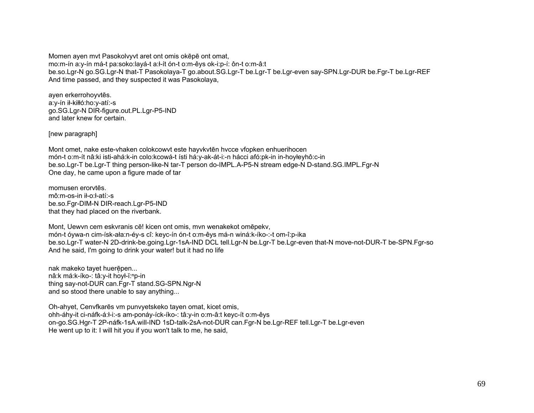Momen ayen myt Pasokolvyvt aret ont omis okepe ont omat, mo:m-ín a:y-ín má-t pa:soko:layá-t a:ł-ít ón-t o:m-êys ok-i:p-í: ôn-t o:m-â:t be.so.Lgr-N go.SG.Lgr-N that-T Pasokolaya-T go.about.SG.Lgr-T be.Lgr-T be.Lgr-even say-SPN.Lgr-DUR be.Fgr-T be.Lgr-REF And time passed, and they suspected it was Pasokolaya,

ayen erkerrohoyvtēs. a:y-ín ił-kiłłó:ho:y-atí:-s go.SG.Lgr-N DIR-figure.out.PL.Lgr-P5-IND and later knew for certain.

[new paragraph]

Mont omet, nake este-vhaken colokcowyt este hayvkytēn hycce vfopken enhuerihocen món-t o:m-ít nâ:ki isti-ahá:k-in colo:kcowá-t ísti há:y-ak-át-i:-n hácci afó:pk-in in-hoyłeyhô:c-in be.so.Lgr-T be.Lgr-T thing person-like-N tar-T person do-IMPL.A-P5-N stream edge-N D-stand.SG.IMPL.Fgr-N One day, he came upon a figure made of tar

momusen erorytes. mô:m-os-in il-o:l-atí:-s be.so.Fgr-DIM-N DIR-reach.Lgr-P5-IND that they had placed on the riverbank.

Mont, Uewyn cem eskyranis cē! kicen ont omis, myn wenakekot omēpeky, món-t óywa-n cim-ísk-ała:n-éy-s cî: keyc-ín ón-t o:m-êys má-n winá:k-íko-:-t om-î:p-ika be.so.Lgr-T water-N 2D-drink-be.going.Lgr-1sA-IND DCL tell.Lgr-N be.Lgr-T be.Lgr-even that-N move-not-DUR-T be-SPN.Fgr-so And he said, I'm going to drink your water! but it had no life

nak makeko tayet huerēpen... nâ:k má:k-íko-: tâ:y-it hoył-ĭ:<sup>n</sup>p-in thing say-not-DUR can.Fgr-T stand.SG-SPN.Ngr-N and so stood there unable to say anything...

Oh-ahyet, Cenvfkares vm punvyetskeko tayen omat, kicet omis, ohh-áhy-it ci-náfk-á: l-i:-s am-ponáy-íck-íko-: tâ: y-in o: m-â: t keyc-ít o: m-êys on-go.SG.Hgr-T 2P-náfk-1sA.will-IND 1sD-talk-2sA-not-DUR can.Fgr-N be.Lgr-REF tell.Lgr-T be.Lgr-even He went up to it: I will hit you if you won't talk to me, he said,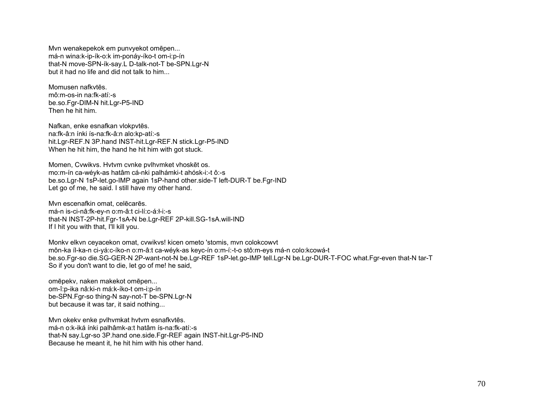Mvn wenakepekok em punvyekot omēpen... má-n wina:k-ip-ík-o:k im-ponáy-íko-t om-i:p-ín that-N move-SPN-ík-say.L D-talk-not-T be-SPN.Lgr-N but it had no life and did not talk to him...

Momusen nafkytēs mô:m-os-in na:fk-atí:-s be.so.Fgr-DIM-N hit.Lgr-P5-IND Then he hit him.

Nafkan, enke esnafkan vlokpvtēs. na:fk-â:n ínki ís-na:fk-â:n alo:kp-atí:-s hit.Lgr-REF.N 3P.hand INST-hit.Lgr-REF.N stick.Lgr-P5-IND When he hit him, the hand he hit him with got stuck.

Momen, Cvwikvs. Hvtvm cvnke pvlhvmket vhoskēt os. mo:m-ín ca-wéyk-as hatâm cá-nki palhámki-t ahósk-i:-t ô:-s be.so.Lgr-N 1sP-let.go-IMP again 1sP-hand other.side-T left-DUR-T be.Fgr-IND Let go of me, he said. I still have my other hand.

Mvn escenafkin omat, celēcarēs. má-n is-ci-nâ:fk-ey-n o:m-â:t ci-lí:c-á:ł-i:-s that-N INST-2P-hit.Fgr-1sA-N be.Lgr-REF 2P-kill.SG-1sA.will-IND If I hit you with that, I'll kill you.

Monky elkvn ceyacekon omat, cvwikvs! kicen ometo 'stomis, mvn colokcowyt môn-ka íl-ka-n ci-yá:c-íko-n o:m-â:t ca-wéyk-as keyc-ín o:m-í:-t-o stô:m-eys má-n colo:kcowá-t be.so.Fgr-so die.SG-GER-N 2P-want-not-N be.Lgr-REF 1sP-let.go-IMP tell.Lgr-N be.Lgr-DUR-T-FOC what.Fgr-even that-N tar-T So if you don't want to die, let go of me! he said,

omēpekv, naken makekot omēpen... om-î:p-ika nâ:ki-n má:k-íko-t om-i:p-ín be-SPN.Fgr-so thing-N say-not-T be-SPN.Lgr-N but because it was tar, it said nothing...

Mvn okeky enke pylhymkat hytym esnafkytēs. má-n o:k-iká ínki palhâmk-a:t hatâm ís-na:fk-atí:-s that-N say.Lgr-so 3P.hand one.side.Fgr-REF again INST-hit.Lgr-P5-IND Because he meant it, he hit him with his other hand.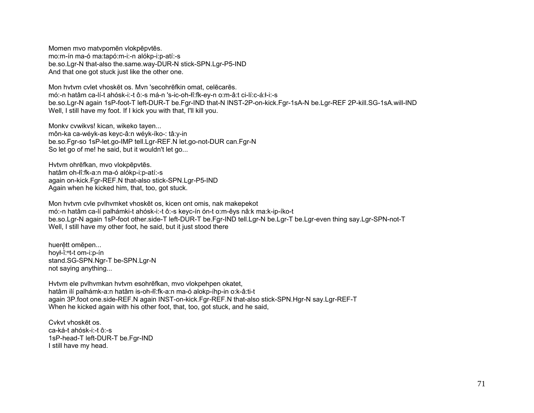Momen mvo matypomēn vlokpēpvtēs. mo:m-ín ma-ó ma:tapó:m-i:-n alókp-i:p-atí:-s be.so.Lgr-N that-also the.same.way-DUR-N stick-SPN.Lgr-P5-IND And that one got stuck just like the other one.

Mon hytym cylet yhoskēt os. Myn 'secohrēfkin omat, celēcarēs. mó:-n hatâm ca-lí-t ahósk-i:-t ô:-s má-n 's-ic-oh-lî:fk-ey-n o:m-â:t ci-lí:c-á:ł-i:-s be.so.Lgr-N again 1sP-foot-T left-DUR-T be.Fgr-IND that-N INST-2P-on-kick.Fgr-1sA-N be.Lgr-REF 2P-kill.SG-1sA.will-IND Well, I still have my foot. If I kick you with that, I'll kill you.

Monky cywikys! kican, wikeko tayen... môn-ka ca-wéyk-as keyc-â:n wéyk-íko-: tâ:y-in be.so.Fgr-so 1sP-let.go-IMP tell.Lgr-REF.N let.go-not-DUR can.Fgr-N So let go of me! he said, but it wouldn't let go...

Hvtvm ohrēfkan, mvo vlokpēpvtēs. hatâm oh-lî:fk-a:n ma-ó alókp-i:p-atí:-s again on-kick.Fgr-REF.N that-also stick-SPN.Lgr-P5-IND Again when he kicked him, that, too, got stuck.

Mon hytym cyle pylhymket yhosket os, kicen ont omis, nak makepekot mó:-n hatâm ca-lí palhámki-t ahósk-i:-t ô:-s keyc-ín ón-t o:m-êys nâ:k ma:k-ip-íko-t be.so.Lgr-N again 1sP-foot other side-T left-DUR-T be.Fgr-IND tell.Lgr-N be.Lgr-T be.Lgr-even thing say.Lgr-SPN-not-T Well, I still have my other foot, he said, but it just stood there

huerētt omēpen... hoyl-i:<sup>nt-t</sup> om-i:p-in stand.SG-SPN.Ngr-T be-SPN.Lgr-N not saying anything...

Hytym ele pylhymkan hytym esohrēfkan, myo vlokpehpen okatet, hatâm ilí palhámk-a:n hatâm is-oh-lî:fk-a:n ma-ó alokp-íhp-in o:k-â:ti-t again 3P.foot one.side-REF.N again INST-on-kick.Fgr-REF.N that-also stick-SPN.Hgr-N say.Lgr-REF-T When he kicked again with his other foot, that, too, got stuck, and he said,

Cykyt yhoskēt os ca-ká-t ahósk-i:-t ô:-s 1sP-head-T left-DUR-T be.Far-IND I still have my head.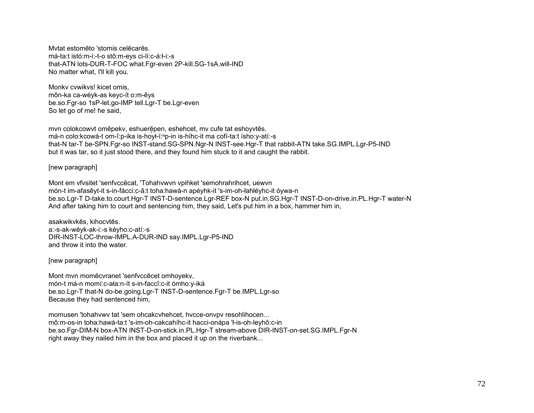Mytat estomēto 'stomis celēcarēs. má-ta:t istó:m-i:-t-o stô:m-eys ci-lí:c-á:ł-i:-s that-ATN lots-DUR-T-FOC what.Fgr-even 2P-kill.SG-1sA.will-IND No matter what, I'll kill you.

Monky cywikys! kicet omis. môn-ka ca-wéyk-as keyc-ít o:m-êys be.so.Fgr-so 1sP-let.go-IMP tell.Lgr-T be.Lgr-even So let go of me! he said,

mvn colokcowyt omēpeky, eshuerēpen, eshehcet, my cufe tat eshoyytēs. má-n colo: kcowá-t om-î: p-ika is-hovł-ĭ: "p-in is-híhc-it ma cofí-ta: t ísho: y-atí:-s that-N tar-T be-SPN.Fgr-so INST-stand.SG-SPN.Ngr-N INST-see.Hgr-T that rabbit-ATN take.SG.IMPL.Lgr-P5-IND but it was tar, so it just stood there, and they found him stuck to it and caught the rabbit.

[new paragraph]

Mont em vfysitet 'senfyccecat, 'Tohahywyn ypihket 'semohrahrihcet, uewyn món-t im-afasêvt-it s-in-fácci:c-â:t toha:hawá-n apévhk-it 's-im-oh-łahłévhc-it óywa-n be.so.Lgr-T D-take.to.court.Hgr-T INST-D-sentence.Lgr-REF box-N put.in.SG.Hgr-T INST-D-on-drive.in.PL.Hgr-T water-N And after taking him to court and sentencing him, they said, Let's put him in a box, hammer him in,

asakwikvkēs, kihocvtēs. a:-s-ak-wéyk-ak-i:-s kéyho:c-atí:-s DIR-INST-LOC-throw-IMPL.A-DUR-IND say.IMPL.Lgr-P5-IND and throw it into the water.

[new paragraph]

Mont mvn momēcvranet 'senfvccēcet omhovekv, món-t má-n momí:c-ała:n-ít s-in-faccî:c-it ómho:y-iká be.so.Lgr-T that-N do-be.going.Lgr-T INST-D-sentence.Fgr-T be.IMPL.Lgr-so Because they had sentenced him.

momusen 'tohahvwy tat 'sem ohcakcyhehcet, hycce-onypy resohlihocen... mô:m-os-in toha:hawá-ta:t 's-im-oh-cakcahíhc-it hacci-onápa 'ł-is-oh-leyhô:c-in be.so.Far-DIM-N box-ATN INST-D-on-stick.in.PL.Har-T stream-above DIR-INST-on-set.SG.IMPL.Far-N right away they nailed him in the box and placed it up on the riverbank...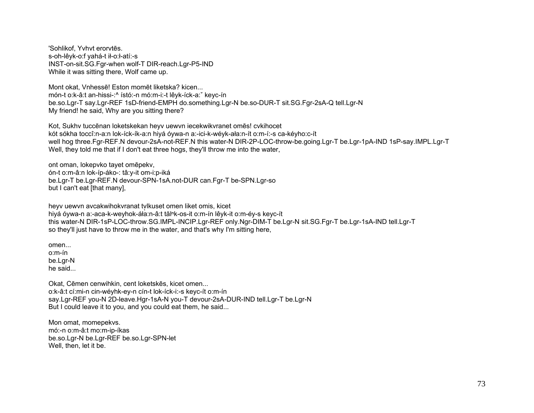'Sohlikof, Yvhvt erorvtēs. s-oh-lêyk-o:f yahá-t ił-o:ł-atí:-s INST-on-sit.SG.Fqr-when wolf-T DIR-reach.Lqr-P5-IND While it was sitting there, Wolf came up.

Mont okat, Vnhessē! Eston momēt liketska? kicen... món-t o:k-â:t an-hissi-:^ ístó:-n mó:m-i:-t lêyk-íck-a: keyc-ín be.so.Lgr-T say.Lgr-REF 1sD-friend-EMPH do.something.Lgr-N be.so-DUR-T sit.SG.Fgr-2sA-Q tell.Lgr-N My friend! he said. Why are you sitting there?

Kot, Sukhy tuccēnan loketskekan heyv uewyn iecekwikyranet omēs! cykihocet kót sókha toccî:n-a:n lok-íck-ík-a:n hiyá óywa-n a:-ici-k-wéyk-ała:n-ít o:m-í:-s ca-kéyho:c-ít well hog three.Fgr-REF.N devour-2sA-not-REF.N this water-N DIR-2P-LOC-throw-be.going.Lgr-T be.Lgr-1pA-IND 1sP-say.IMPL.Lgr-T Well, they told me that if I don't eat three hogs, they'll throw me into the water,

ont oman, lokepvko tayet omēpekv, ón-t o:m-â:n lok-íp-áko-: tâ:y-it om-i:p-iká be.Lgr-T be.Lgr-REF.N devour-SPN-1sA.not-DUR can.Fgr-T be-SPN.Lgr-so but I can't eat [that many],

heyv uewyn avcakwihokyranat tylkuset omen liket omis, kicet hiyá óywa-n a:-aca-k-weyhok-áła:n-â:t tăl<sup>n</sup>k-os-it o:m-ín lêyk-it o:m-éy-s keyc-ít this water-N DIR-1sP-LOC-throw.SG.IMPL-INCIP.Lgr-REF only.Ngr-DIM-T be.Lgr-N sit.SG.Fgr-T be.Lgr-1sA-IND tell.Lgr-T so they'll just have to throw me in the water, and that's why I'm sitting here.

 $omen...$  $o.m$ -ín be.Lar-N he said...

Okat, Cēmen cenwihkin, cent loketskēs, kicet omen... o:k-â:t cí:mi-n cin-wéyhk-ey-n cín-t lok-íck-i:-s keyc-ít o:m-ín say.Lgr-REF you-N 2D-leave.Hgr-1sA-N you-T devour-2sA-DUR-IND tell.Lgr-T be.Lgr-N But I could leave it to you, and you could eat them, he said...

Mon omat, momepekvs. mó:-n o:m-â:t mo:m-ip-íkas be.so.Lgr-N be.Lgr-REF be.so.Lgr-SPN-let Well, then, let it be.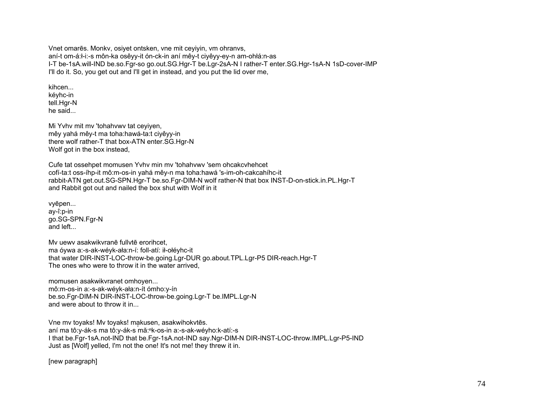Vnet omares. Monky, osiyet ontsken, yne mit ceyiyin, ym ohranys, aní-t om-á:l-i:-s môn-ka osêyy-it ón-ck-in aní mêy-t ciyêyy-ey-n am-ohlá:n-as I-T be-1sA.will-IND be.so.Fqr-so qo.out.SG.Hqr-T be.Lqr-2sA-N I rather-T enter.SG.Hqr-1sA-N 1sD-cover-IMP I'll do it. So, you get out and I'll get in instead, and you put the lid over me,

kihcen kéyhc-in tell.Hgr-N he said...

Mi Yyhy mit my 'tohahywy tat ceviven. mêy vahá mêy-t ma toha:hawá-ta:t civêvy-in there wolf rather-T that box-ATN enter.SG.Hgr-N Wolf got in the box instead,

Cufe tat ossehpet momusen Yvhv min mv 'tohahvwv 'sem ohcakcvhehcet cofí-ta:t oss-íhp-it mô:m-os-in yahá mêy-n ma toha:hawá 's-im-oh-cakcahíhc-it rabbit-ATN get.out.SG-SPN.Hgr-T be.so.Fgr-DIM-N wolf rather-N that box INST-D-on-stick.in.PL.Hgr-T and Rabbit got out and nailed the box shut with Wolf in it

vyēpen... av-î:p-in go.SG-SPN.Fgr-N and left

My uewy asakwikyrane fullyte erorihcet. ma óywa a:-s-ak-wéyk-ała:n-í: foll-atí: ił-ołéyhc-it that water DIR-INST-LOC-throw-be.going.Lgr-DUR go.about.TPL.Lgr-P5 DIR-reach.Hgr-T The ones who were to throw it in the water arrived,

momusen asakwikvranet omhoven... mô:m-os-in a:-s-ak-wéyk-ała:n-ít ómho:y-ín be.so.Fgr-DIM-N DIR-INST-LOC-throw-be.going.Lgr-T be.IMPL.Lgr-N and were about to throw it in...

Vne mv toyaks! Mv toyaks! makusen, asakwihokvtēs. aní ma tô:y-ák-s ma tô:y-ák-s mă:<sup>n</sup>k-os-in a:-s-ak-wéyho:k-atí:-s I that be.Fgr-1sA.not-IND that be.Fgr-1sA.not-IND say.Ngr-DIM-N DIR-INST-LOC-throw.IMPL.Lgr-P5-IND Just as [Wolf] yelled, I'm not the one! It's not me! they threw it in.

[new paragraph]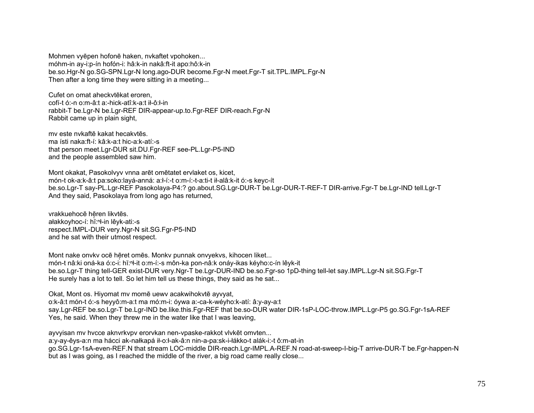Mohmen vyepen hofone haken, nykaftet vpohoken... móhm-in av-i:p-ín hofón-i: hâ:k-in nakâ:ft-it apo:hô:k-in be.so.Hgr-N go.SG-SPN.Lgr-N long.ago-DUR become.Fgr-N meet.Fgr-T sit.TPL.IMPL.Fgr-N Then after a long time they were sitting in a meeting...

Cufet on omat aheckvtēkat eroren, cofí-t ó:-n o:m-â:t a:-hick-atî:k-a:t ił-ô:ł-in rabbit-T be.Lgr-N be.Lgr-REF DIR-appear-up.to.Fgr-REF DIR-reach.Fgr-N Rabbit came up in plain sight,

my este nykaftē kakat hecakvtēs ma ísti naka:ft-í: kâ:k-a:t hic-a:k-atí:-s that person meet. Lgr-DUR sit. DU. Fgr-REF see-PL. Lgr-P5-IND and the people assembled saw him.

Mont okakat, Pasokolvyv vnna arēt omētatet ervlaket os, kicet, món-t ok-a:k-â:t pa:soko:layá-anná: a:l-í:-t o:m-í:-t-a:ti-t il-alâ:k-it ó:-s keyc-ít be.so.Lgr-T say-PL.Lgr-REF Pasokolaya-P4:? go.about.SG.Lgr-DUR-T be.Lgr-DUR-T-REF-T DIR-arrive.Fgr-T be.Lgr-IND tell.Lgr-T And they said, Pasokolaya from long ago has returned,

vrakkuehocē hēren likvtēs. ałakkoyhoc-í: hǐ:<sup>n</sup>ł-in lêyk-ati:-s respect.IMPL-DUR very.Ngr-N sit.SG.Fgr-P5-IND and he sat with their utmost respect.

Mont nake onvky oce heret omes. Monky punnak onvyekys, kihocen liket... món-t nâ: ki oná-ka ó: c-i: hǐ: "t-it o: m-í:-s môn-ka pon-nâ: k onáy-ikas kéyho: c-ín lêyk-it be.so.Lgr-T thing tell-GER exist-DUR very.Ngr-T be.Lgr-DUR-IND be.so.Fgr-so 1pD-thing tell-let say.IMPL.Lgr-N sit.SG.Fgr-T He surely has a lot to tell. So let him tell us these things, they said as he sat...

Okat, Mont os. Hiyomat my momē uewy acakwihokytē ayvyat, o:k-â:t món-t ó:-s heyyô:m-a:t ma mó:m-i: óywa a:-ca-k-wéyho:k-atí: â:y-ay-a:t say.Lgr-REF be.so.Lgr-T be.Lgr-IND be.like.this.Fgr-REF that be.so-DUR water DIR-1sP-LOC-throw.IMPL.Lgr-P5 go.SG.Fgr-1sA-REF Yes, he said. When they threw me in the water like that I was leaving,

ayvyisan my hycce aknyrkypy erorykan nen-ypaske-rakkot vlykēt omyten... a:y-ay-êys-a:n ma hácci ak-nałkapá ił-o:ł-ak-â:n nin-a-pa:sk-i-łákko-t alák-i:-t ô:m-at-in go.SG.Lgr-1sA-even-REF.N that stream LOC-middle DIR-reach.Lgr-IMPL.A-REF.N road-at-sweep-l-big-T arrive-DUR-T be.Fgr-happen-N but as I was going, as I reached the middle of the river, a big road came really close...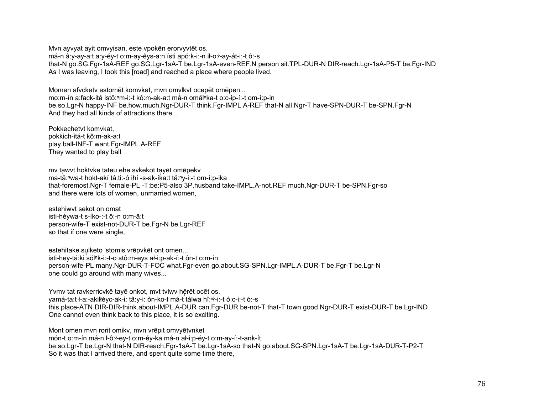Mvn ayvyat ayit omvyisan, este vpokēn erorvyvtēt os. má-n â:y-ay-a:t a:y-éy-t o:m-ay-êys-a:n ísti apó:k-i:-n ił-o:ł-ay-át-i:-t ô:-s that-N go.SG.Fgr-1sA-REF go.SG.Lgr-1sA-T be.Lgr-1sA-even-REF.N person sit.TPL-DUR-N DIR-reach.Lgr-1sA-P5-T be.Fgr-IND As I was leaving, I took this [road] and reached a place where people lived.

Momen afvckety estomēt komvkat, myn omvlkyt ocepēt omēpen... mo:m-ín a:fack-itá istŏ:<sup>n</sup>m-i:-t kô:m-ak-a:t má-n omăl<sup>n</sup>ka-t o:c-ip-í:-t om-î:p-in be.so.Lgr-N happy-INF be.how.much.Ngr-DUR-T think.Fgr-IMPL.A-REF that-N all.Ngr-T have-SPN-DUR-T be-SPN.Fgr-N And they had all kinds of attractions there...

Pokkechetyt komykat. pokkich-itá-t kô:m-ak-a:t play.ball-INF-T want.Fgr-IMPL.A-REF They wanted to play ball

my tawyt hoktyke tateu ehe sykekot tayēt omēpeky ma-tă: "wa-t hokt-akí tá: ti: -ó ihí -s-ak-íka: t tă: "y-i: -t om-î: p-ika that-foremost.Ngr-T female-PL -T:be:P5-also 3P.husband take-IMPL.A-not.REF much.Ngr-DUR-T be-SPN.Fgr-so and there were lots of women, unmarried women,

estehiwyt sekot on omat isti-hévwa-t s-íko-:-t ô:-n o:m-â:t person-wife-T exist-not-DUR-T be.Fgr-N be.Lgr-REF so that if one were single,

estehitake sulketo 'stomis vrēpvkēt ont omen... isti-hey-tá:ki sŏl<sup>n</sup>k-i:-t-o stô:m-eys ał-i:p-ak-í:-t ôn-t o:m-ín person-wife-PL many.Ngr-DUR-T-FOC what.Fgr-even go.about.SG-SPN.Lgr-IMPL.A-DUR-T be.Fgr-T be.Lgr-N one could go around with many wives...

Yvmy tat ravkerricyke taye onkot, myt tylwy heret ocet os. yamá-ta:t ł-a:-akiłłéyc-ak-i: tâ:y-i: ón-ko-t má-t tálwa hǐ:<sup>n</sup>ł-i:-t ó:c-i:-t ó:-s this.place-ATN DIR-DIR-think.about-IMPL.A-DUR can.Fgr-DUR be-not-T that-T town good.Ngr-DUR-T exist-DUR-T be.Lgr-IND One cannot even think back to this place, it is so exciting.

Mont omen myn rorit omiky, myn yrēpit omyyētynket

món-t o:m-ín má-n ł-ô:ł-ey-t o:m-éy-ka má-n ał-i:p-éy-t o:m-ay-í:-t-ank-ít

be.so.Lgr-T be.Lgr-N that-N DIR-reach.Fgr-1sA-T be.Lgr-1sA-so that-N go.about.SG-SPN.Lgr-1sA-T be.Lgr-1sA-DUR-T-P2-T So it was that I arrived there, and spent quite some time there,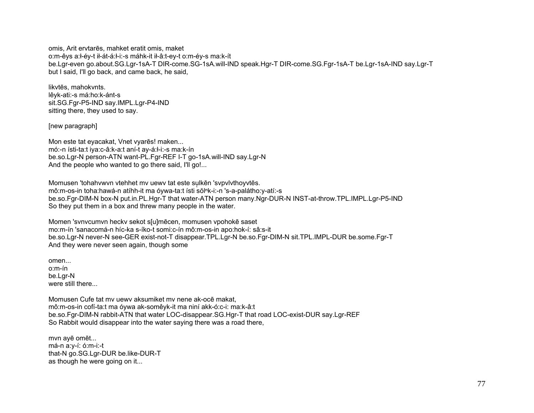omis, Arit ervtares, mahket eratit omis, maket o:m-êys a:l-éy-t il-át-á:l-i:-s máhk-it il-â:t-ey-t o:m-éy-s ma:k-ít be.Lgr-even go.about.SG.Lgr-1sA-T DIR-come.SG-1sA.will-IND speak.Hgr-T DIR-come.SG.Fgr-1sA-T be.Lgr-1sA-IND say.Lgr-T but I said, I'll go back, and came back, he said,

likvtēs, mahokvnts. lêyk-ati:-s má:ho:k-ánt-s sit.SG.Fgr-P5-IND say.IMPL.Lgr-P4-IND sitting there, they used to say.

[new paragraph]

Mon este tat eyacakat, Vnet vyarēs! maken... mó:-n ísti-ta:t iya:c-â:k-a:t aní-t ay-á:l-i:-s ma:k-ín be.so.Lgr-N person-ATN want-PL.Fgr-REF I-T go-1sA.will-IND say.Lgr-N And the people who wanted to go there said, I'll go!...

Momusen 'tohahywyn ytehhet my uewy tat este sulken 'sypylythoyytes. mô:m-os-in toha:hawá-n atíhh-it ma óywa-ta:t ísti sŏlʰk-i:-n 's-a-palátho:y-atí:-s be.so.Fgr-DIM-N box-N put.in.PL.Hgr-T that water-ATN person many.Ngr-DUR-N INST-at-throw.TPL.IMPL.Lgr-P5-IND So they put them in a box and threw many people in the water.

Momen 'svnycumvn hecky sekot s[u]mēcen, momusen vpohokē saset mo:m-ín 'sanacomá-n híc-ka s-íko-t somi:c-ín mô:m-os-in apo:hok-í: sâ:s-it be.so.Lgr-N never-N see-GER exist-not-T disappear.TPL.Lgr-N be.so.Fgr-DIM-N sit.TPL.IMPL-DUR be.some.Fgr-T And they were never seen again, though some

omen...  $o.m$ -ín be.Lar-N were still there...

Momusen Cufe tat my uewy aksumiket my nene ak-oce makat. mô:m-os-in cofí-ta:t ma óywa ak-somêyk-it ma niní akk-ó:c-i: ma:k-â:t be.so.Fgr-DIM-N rabbit-ATN that water LOC-disappear.SG.Hgr-T that road LOC-exist-DUR say.Lgr-REF So Rabbit would disappear into the water saying there was a road there.

myn avē omēt... má-n a:v-í: ó:m-i:-t that-N go.SG.Lgr-DUR be.like-DUR-T as though he were going on it...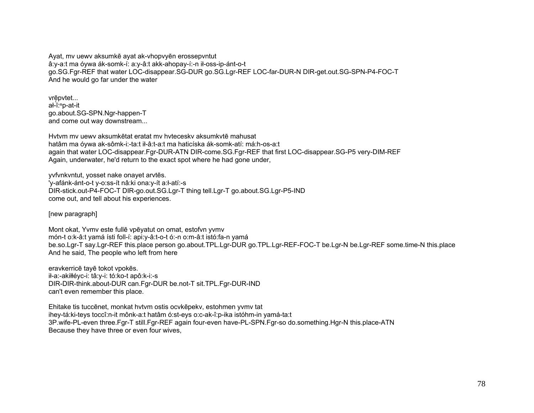Ayat, mv uewv aksumkē ayat ak-vhopvyēn erossepvntut â:y-a:t ma óywa ák-somk-í: a:y-â:t akk-ahopay-í:-n ił-oss-ip-ánt-o-t go.SG.Fgr-REF that water LOC-disappear.SG-DUR go.SG.Lgr-REF LOC-far-DUR-N DIR-get.out.SG-SPN-P4-FOC-T And he would go far under the water

vrē ̜pvtet... <sup>a</sup>ł-ĭ:<sup>ⁿ</sup>p-at-it go.about.SG-SPN.Ngr-happen-T and come out way downstream...

Hvtvm mv uewv aksumkētat eratat mv hvteceskv aksumkvtē mahusat hatâm ma óywa ak-sômk-i:-ta:t ił-â:t-a:t ma haticíska ák-somk-atí: má:h-os-a:t again that water LOC-disappear.Fgr-DUR-ATN DIR-come.SG.Fgr-REF that first LOC-disappear.SG-P5 very-DIM-REF Again, underwater, he'd return to the exact spot where he had gone under,

yvfvnkvntut, yosset nake onayet arvtēs. 'y-afánk-ánt-o-t y-o:ss-ít nâ:ki ona:y-ít a:ł-atí:-s DIR-stick.out-P4-FOC-T DIR-go.out.SG.Lgr-T thing tell.Lgr-T go.about.SG.Lgr-P5-IND come out, and tell about his experiences.

[new paragraph]

Mont okat, Yvmv este fullē vpēyatut on omat, estofvn yvmv món-t o:k-â:t yamá ísti foll-í: api:y-â:t-o-t ó:-n o:m-â:t istó:fa-n yamá be.so.Lgr-T say.Lgr-REF this.place person go.about.TPL.Lgr-DUR go.TPL.Lgr-REF-FOC-T be.Lgr-N be.Lgr-REF some.time-N this.place And he said, The people who left from here

eravkerricē tayē tokot vpokēs. ił-a:-akiłłéyc-i: tâ:y-i: tó:ko-t apô:k-i:-s DIR-DIR-think.about-DUR can.Fgr-DUR be.not-T sit.TPL.Fgr-DUR-IND can't even remember this place.

Ehitake tis tuccēnet, monkat hvtvm ostis ocvkēpekv, estohmen yvmv tat ihey-tá:ki-teys toccî:n-it mônk-a:t hatâm ó:st-eys o:c-ak-î:p-ika istóhm-in yamá-ta:t 3P.wife-PL-even three.Fgr-T still.Fgr-REF again four-even have-PL-SPN.Fgr-so do.something.Hgr-N this.place-ATN Because they have three or even four wives,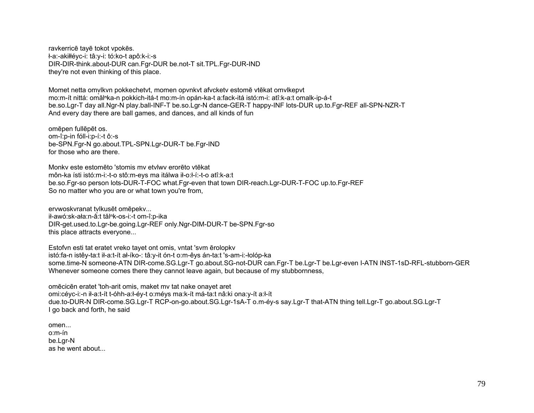ravkerricē tayē tokot vpokēs. ł-a:-akiłłéyc-i: tâ:y-i: tó:ko-t apô:k-i:-s DIR-DIR-think.about-DUR can.Fgr-DUR be.not-T sit.TPL.Fgr-DUR-IND they're not even thinking of this place.

Momet netta omvikvn pokkechetyt, momen opvnkyt afyckety estomē vtēkat omvikepyt mo:m-ít nittá: omăl<sup>n</sup>ka-n pokkich-itá-t mo:m-ín opán-ka-t a:fack-itá istó:m-i: atî:k-a:t omalk-ip-á-t be.so.Lgr-T day all.Ngr-N play.ball-INF-T be.so.Lgr-N dance-GER-T happy-INF lots-DUR up.to.Fgr-REF all-SPN-NZR-T And every day there are ball games, and dances, and all kinds of fun

omēpen fullēpēt os. om-î:p-in fóll-i:p-í:-t ô:-s be-SPN.Fgr-N go.about.TPL-SPN.Lgr-DUR-T be.Fgr-IND for those who are there.

Monky este estomēto 'stomis my etylwy erorēto vtēkat môn-ka ísti istó:m-i:-t-o stô:m-eys ma itálwa ił-o:ł-í:-t-o atî:k-a:t be.so.Fgr-so person lots-DUR-T-FOC what.Fgr-even that town DIR-reach.Lgr-DUR-T-FOC up.to.Fgr-REF So no matter who you are or what town you're from.

ervwoskvranat tylkusēt omēpekv... ił-awó:sk-ała:n-â:t tăl<sup>n</sup>k-os-i:-t om-î:p-ika DIR-get.used.to.Lgr-be.going.Lgr-REF only.Ngr-DIM-DUR-T be-SPN.Fgr-so this place attracts everyone...

Estofyn esti tat eratet vreko tayet ont omis, yntat 'sym erolopky istó:fa-n istêy-ta:t ił-a:t-ít ał-íko-: tâ:y-it ón-t o:m-êys án-ta:t 's-am-i:-łolóp-ka some.time-N someone-ATN DIR-come.SG.Lgr-T go.about.SG-not-DUR can.Fgr-T be.Lgr-T be.Lgr-even I-ATN INST-1sD-RFL-stubborn-GER Whenever someone comes there they cannot leave again, but because of my stubbornness,

omēcicēn eratet 'toh-arit omis, maket my tat nake onayet aret omi:céyc-i:-n ił-a:t-ít t-óhh-a:ł-éy-t o:méys ma:k-ít má-ta:t nâ:ki ona:y-ít a:ł-ít due.to-DUR-N DIR-come.SG.Lgr-T RCP-on-go.about.SG.Lgr-1sA-T o.m-éy-s say.Lgr-T that-ATN thing tell.Lgr-T go.about.SG.Lgr-T I go back and forth, he said

omen... o:m-ín be.Lgr-N as he went about...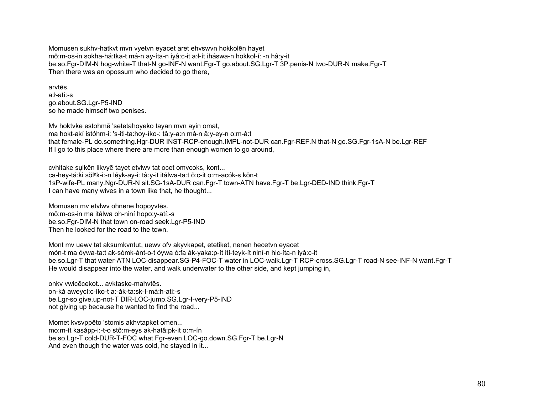Momusen sukhv-hatkyt myn vyetyn eyacet aret ehyswyn hokkolen hayet mô:m-os-in sokha-há:tka-t má-n ay-íta-n iyâ:c-it a:ł-ít iháswa-n hokkol-í: -n hâ:y-it be.so.Fgr-DIM-N hog-white-T that-N go-INF-N want.Fgr-T go.about.SG.Lgr-T 3P.penis-N two-DUR-N make.Fgr-T Then there was an opossum who decided to go there,

arvtēs. a:l-atí:-s go.about.SG.Lgr-P5-IND so he made himself two penises.

My hoktyke estohme 'setetahoyeko tayan myn ayin omat, ma hokt-akí istóhm-i: 's-iti-ta:hov-íko-: tâ:y-a:n má-n â:y-ey-n o:m-â:t that female-PL do.something.Hgr-DUR INST-RCP-enough.IMPL-not-DUR can.Fgr-REF.N that-N go.SG.Fgr-1sA-N be.Lgr-REF If I go to this place where there are more than enough women to go around,

cyhitake sulkēn likvyē tayet etvlwy tat ocet omycoks, kont... ca-hey-tá:ki sŏl<sup>n</sup>k-i:-n léyk-ay-i: tâ:y-it itálwa-ta:t ô:c-it o:m-acók-s kôn-t 1sP-wife-PL many.Ngr-DUR-N sit.SG-1sA-DUR can.Fgr-T town-ATN have.Fgr-T be.Lgr-DED-IND think.Fgr-T I can have many wives in a town like that, he thought...

Momusen my etvlwy ohnene hopoyytes. mô:m-os-in ma itálwa oh-niní hopo:y-atí:-s be.so.Fgr-DIM-N that town on-road seek.Lgr-P5-IND Then he looked for the road to the town

Mont my uewy tat aksumkyntut, uewy ofy akyykapet, etetiket, nenen hecetyn eyacet món-t ma óywa-ta:t ak-sómk-ánt-o-t óywa ó:fa ák-yaka:p-ít ití-teyk-ít niní-n hic-íta-n iyâ:c-it be.so.Lgr-T that water-ATN LOC-disappear.SG-P4-FOC-T water in LOC-walk.Lgr-T RCP-cross.SG.Lgr-T road-N see-INF-N want.Fgr-T He would disappear into the water, and walk underwater to the other side, and kept jumping in,

onky vwicēcekot... avktaske-mahytēs. on-ká aweycí:c-íko-t a:-ák-ta:sk-í-má:h-ati:-s be.Lgr-so give.up-not-T DIR-LOC-jump.SG.Lgr-I-very-P5-IND not giving up because he wanted to find the road...

Momet kysyppēto 'stomis akhytapket omen... mo:m-ít kasápp-i:-t-o stô:m-evs ak-hatâ:pk-it o:m-ín be.so.Lar-T cold-DUR-T-FOC what.Far-even LOC-go.down.SG.Far-T be.Lar-N And even though the water was cold, he stayed in it...